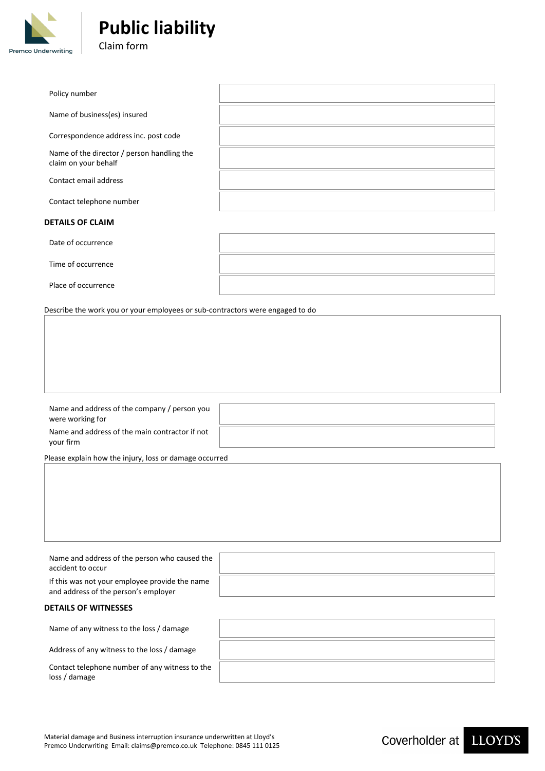

| Policy number                                                      |  |
|--------------------------------------------------------------------|--|
| Name of business(es) insured                                       |  |
| Correspondence address inc. post code                              |  |
| Name of the director / person handling the<br>claim on your behalf |  |
| Contact email address                                              |  |
| Contact telephone number                                           |  |
|                                                                    |  |

### **DETAILS OF CLAIM**

Date of occurrence

Time of occurrence

Place of occurrence

Describe the work you or your employees or sub-contractors were engaged to do

| Name and address of the company / person you<br>were working for |  |
|------------------------------------------------------------------|--|
| Name and address of the main contractor if not<br>your firm      |  |
|                                                                  |  |

Please explain how the injury, loss or damage occurred

| Name and address of the person who caused the<br>accident to occur                     |  |
|----------------------------------------------------------------------------------------|--|
| If this was not your employee provide the name<br>and address of the person's employer |  |
| <b>DETAILS OF WITNESSES</b>                                                            |  |
| Name of any witness to the loss / damage                                               |  |
| Address of any witness to the loss / damage                                            |  |

Contact telephone number of any witness to the loss / damage